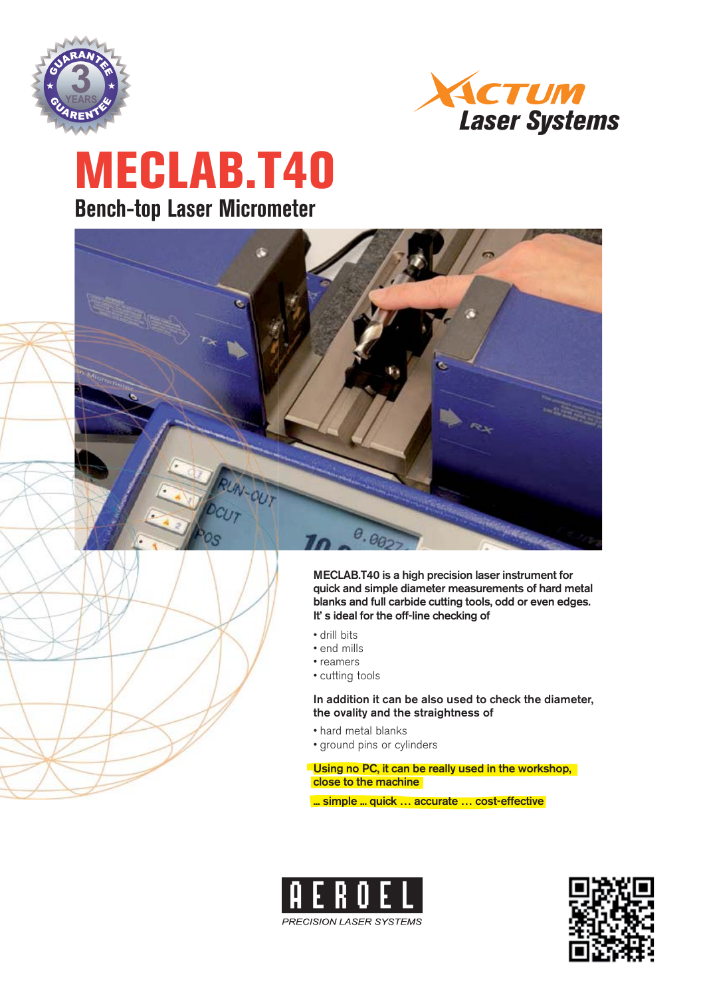



# **MECLAB.T40 Bench-top Laser Micrometer**



**MECLAB.T40 is a high precision laser instrument for quick and simple diameter measurements of hard metal blanks and full carbide cutting tools, odd or even edges. It' s ideal for the off-line checking of** 

- drill bits
- end mills
- reamers
- cutting tools

**In addition it can be also used to check the diameter, the ovality and the straightness of** 

- hard metal blanks
- ground pins or cylinders

**Using no PC, it can be really used in the workshop, close to the machine**

**... simple ... quick … accurate … cost-effective** 



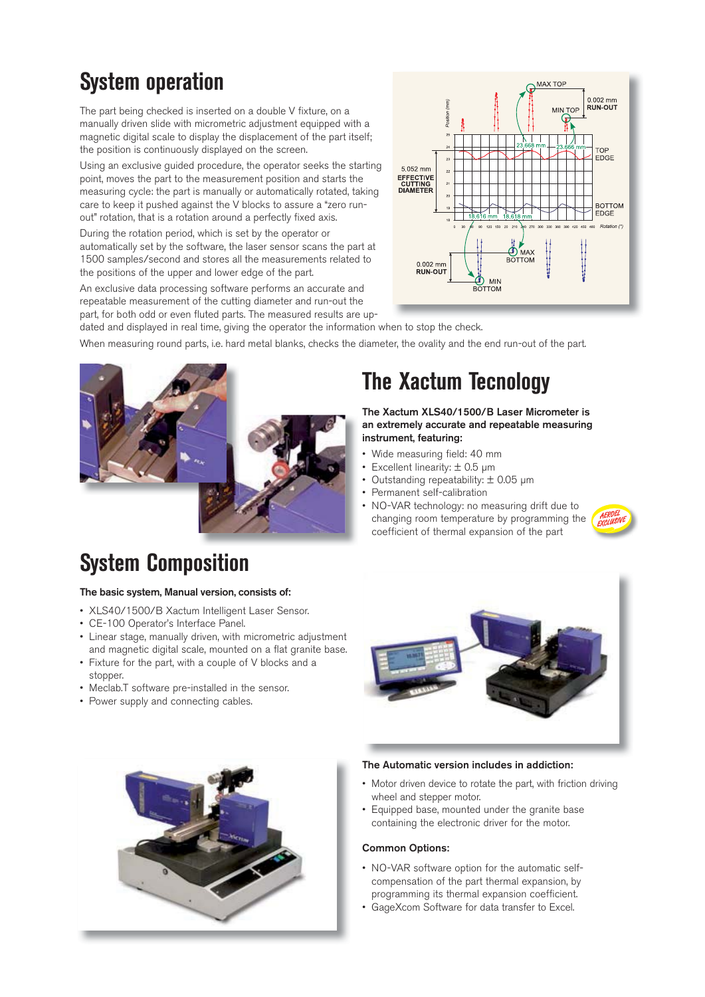## **System operation**

The part being checked is inserted on a double V fixture, on a manually driven slide with micrometric adjustment equipped with a magnetic digital scale to display the displacement of the part itself; the position is continuously displayed on the screen.

Using an exclusive guided procedure, the operator seeks the starting point, moves the part to the measurement position and starts the measuring cycle: the part is manually or automatically rotated, taking care to keep it pushed against the V blocks to assure a "zero runout" rotation, that is a rotation around a perfectly fixed axis.

During the rotation period, which is set by the operator or automatically set by the software, the laser sensor scans the part at 1500 samples/second and stores all the measurements related to the positions of the upper and lower edge of the part.

An exclusive data processing software performs an accurate and repeatable measurement of the cutting diameter and run-out the part, for both odd or even fluted parts. The measured results are up-



dated and displayed in real time, giving the operator the information when to stop the check.

When measuring round parts, i.e. hard metal blanks, checks the diameter, the ovality and the end run-out of the part.



## **System Composition**

#### **The basic system, Manual version, consists of:**

- XLS40/1500/B Xactum Intelligent Laser Sensor.
- CE-100 Operator's Interface Panel.
- Linear stage, manually driven, with micrometric adjustment and magnetic digital scale, mounted on a flat granite base.
- Fixture for the part, with a couple of V blocks and a stopper.
- Meclab.T software pre-installed in the sensor.
- Power supply and connecting cables.



#### **The Automatic version includes in addiction:**

**The Xactum Tecnology**

**instrument, featuring:** 

• Wide measuring field: 40 mm • Excellent linearity: ± 0.5 μm • Outstanding repeatability: ± 0.05 μm

• Permanent self-calibration

**The Xactum XLS40/1500/B Laser Micrometer is an extremely accurate and repeatable measuring** 

• NO-VAR technology: no measuring drift due to changing room temperature by programming the coefficient of thermal expansion of the part

- Motor driven device to rotate the part, with friction driving wheel and stepper motor.
- Equipped base, mounted under the granite base containing the electronic driver for the motor.

#### **Common Options:**

- NO-VAR software option for the automatic selfcompensation of the part thermal expansion, by programming its thermal expansion coefficient.
- GageXcom Software for data transfer to Excel.

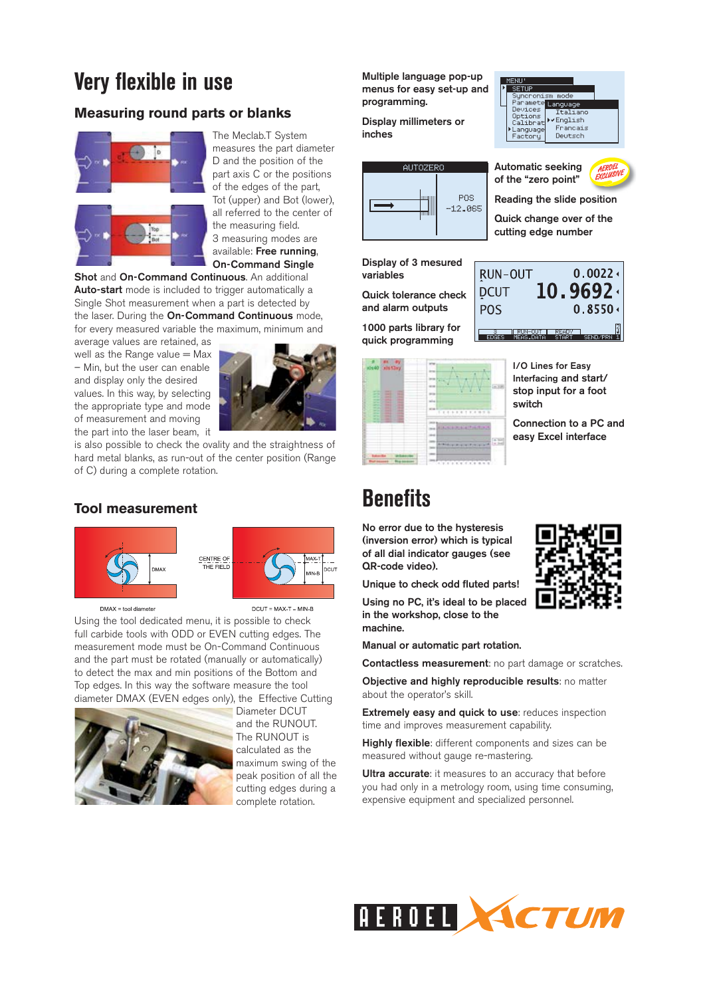### **Very flexible in use**

### **Measuring round parts or blanks**



The Meclab.T System measures the part diameter D and the position of the part axis C or the positions of the edges of the part, Tot (upper) and Bot (lower), all referred to the center of the measuring field. 3 measuring modes are available: **Free running**, **On-Command Single** 

**Shot** and **On-Command Continuous**. An additional **Auto-start** mode is included to trigger automatically a Single Shot measurement when a part is detected by the laser. During the **On-Command Continuous** mode, for every measured variable the maximum, minimum and

average values are retained, as well as the Range value  $=$  Max – Min, but the user can enable and display only the desired values. In this way, by selecting the appropriate type and mode of measurement and moving the part into the laser beam, it



is also possible to check the ovality and the straightness of hard metal blanks, as run-out of the center position (Range of C) during a complete rotation.

### **Tool measurement**



 $DMAX = tool$  diameter

 $DCUT = MAX-T - MIN-B$ 

Using the tool dedicated menu, it is possible to check full carbide tools with ODD or EVEN cutting edges. The measurement mode must be On-Command Continuous and the part must be rotated (manually or automatically) to detect the max and min positions of the Bottom and Top edges. In this way the software measure the tool diameter DMAX (EVEN edges only), the Effective Cutting



Diameter DCUT and the RUNOUT. The RUNOUT is calculated as the maximum swing of the peak position of all the cutting edges during a complete rotation.

**Multiple language pop-up menus for easy set-up and programming.**

**Display millimeters or inches**



**Display of 3 mesured variables**

**Quick tolerance check and alarm outputs**

**1000 parts library for quick programming**





**Automatic seeking of the "zero point"**



 $0.0022 \div$ 

**Reading the slide position**

**Quick change over of the cutting edge number**

RUN-OUT  $10.9692 \cdot$ **DCUT POS** 



**I/O Lines for Easy Interfacing and start/ stop input for a foot switch**

**Connection to a PC and easy Excel interface**

### **Benefits**

**No error due to the hysteresis (inversion error) which is typical of all dial indicator gauges (see QR-code video).** 

**Unique to check odd fluted parts!**

**Using no PC, it's ideal to be placed in the workshop, close to the machine.** 

**Manual or automatic part rotation.**

**Contactless measurement**: no part damage or scratches.

**Objective and highly reproducible results**: no matter about the operator's skill.

**Extremely easy and quick to use: reduces inspection** time and improves measurement capability.

**Highly flexible**: different components and sizes can be measured without gauge re-mastering.

**Ultra accurate:** it measures to an accuracy that before you had only in a metrology room, using time consuming, expensive equipment and specialized personnel.